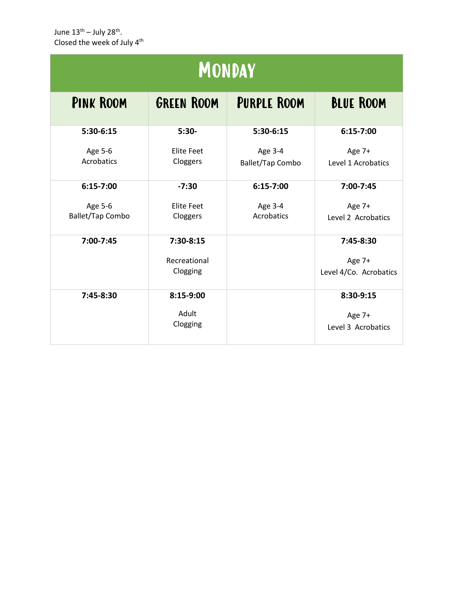June 13<sup>th</sup> – July 28<sup>th</sup>. Closed the week of July 4<sup>th</sup>

| JUIIL ⊥J JUIY ZU .<br>Closed the week of July 4th |                                       |                             |                                               |  |  |  |
|---------------------------------------------------|---------------------------------------|-----------------------------|-----------------------------------------------|--|--|--|
| <b>MONDAY</b>                                     |                                       |                             |                                               |  |  |  |
| <b>PINK ROOM</b>                                  | <b>GREEN ROOM</b>                     | <b>PURPLE ROOM</b>          | <b>BLUE ROOM</b>                              |  |  |  |
| 5:30-6:15                                         | $5:30-$                               | 5:30-6:15                   | $6:15-7:00$                                   |  |  |  |
| Age 5-6<br>Acrobatics                             | <b>Elite Feet</b><br>Cloggers         | Age 3-4<br>Ballet/Tap Combo | Age 7+<br>Level 1 Acrobatics                  |  |  |  |
| $6:15-7:00$                                       | $-7:30$                               | $6:15-7:00$                 | 7:00-7:45                                     |  |  |  |
| Age 5-6<br><b>Ballet/Tap Combo</b>                | <b>Elite Feet</b><br>Cloggers         | Age 3-4<br>Acrobatics       | Age 7+<br>Level 2 Acrobatics                  |  |  |  |
| 7:00-7:45                                         | 7:30-8:15<br>Recreational<br>Clogging |                             | 7:45-8:30<br>Age 7+<br>Level 4/Co. Acrobatics |  |  |  |
| 7:45-8:30                                         | 8:15-9:00<br>Adult<br>Clogging        |                             | 8:30-9:15<br>Age 7+<br>Level 3 Acrobatics     |  |  |  |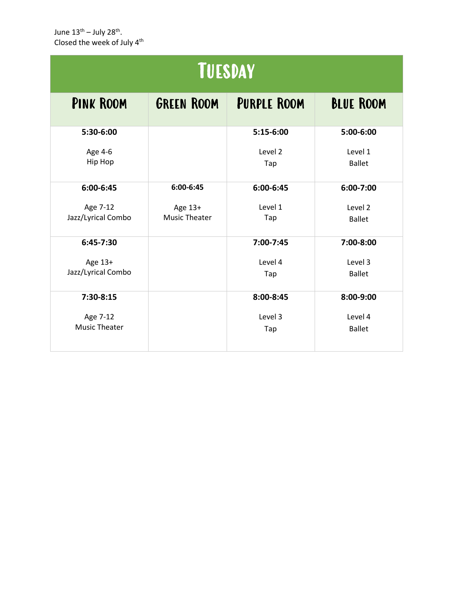| <b>TUESDAY</b>                  |                           |                          |  |  |  |
|---------------------------------|---------------------------|--------------------------|--|--|--|
| <b>GREEN ROOM</b>               | <b>PURPLE ROOM</b>        | <b>BLUE ROOM</b>         |  |  |  |
|                                 | 5:15-6:00                 | 5:00-6:00                |  |  |  |
|                                 | Level <sub>2</sub><br>Tap | Level 1<br><b>Ballet</b> |  |  |  |
| 6:00-6:45                       | 6:00-6:45                 | 6:00-7:00                |  |  |  |
| Age 13+<br><b>Music Theater</b> | Level 1<br>Tap            | Level 2<br><b>Ballet</b> |  |  |  |
|                                 | 7:00-7:45                 | 7:00-8:00                |  |  |  |
|                                 | Level 4<br>Tap            | Level 3<br><b>Ballet</b> |  |  |  |
|                                 | 8:00-8:45                 | 8:00-9:00                |  |  |  |
|                                 | Level 3<br>Tap            | Level 4<br><b>Ballet</b> |  |  |  |
|                                 |                           |                          |  |  |  |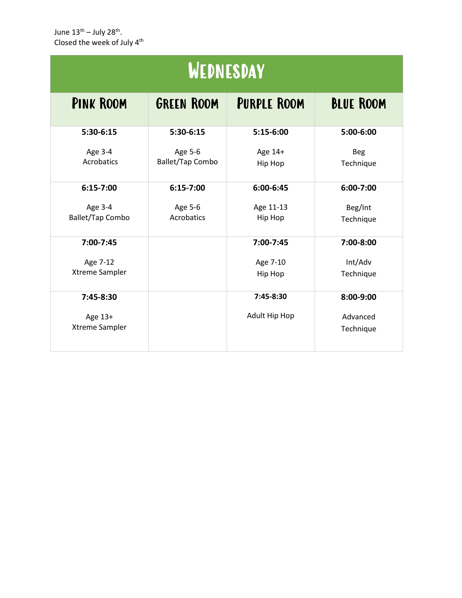| Closed the week of July 4th<br>WEDNESDAY |                                    |                      |                         |  |  |
|------------------------------------------|------------------------------------|----------------------|-------------------------|--|--|
|                                          |                                    |                      |                         |  |  |
| 5:30-6:15                                | 5:30-6:15                          | 5:15-6:00            | 5:00-6:00               |  |  |
| Age 3-4<br>Acrobatics                    | Age 5-6<br><b>Ballet/Tap Combo</b> | Age 14+<br>Hip Hop   | <b>Beg</b><br>Technique |  |  |
| $6:15-7:00$                              | $6:15-7:00$                        | 6:00-6:45            | 6:00-7:00               |  |  |
| Age 3-4<br><b>Ballet/Tap Combo</b>       | Age 5-6<br>Acrobatics              | Age 11-13<br>Hip Hop | Beg/Int<br>Technique    |  |  |
| 7:00-7:45                                |                                    | 7:00-7:45            | 7:00-8:00               |  |  |
| Age 7-12<br>Xtreme Sampler               |                                    | Age 7-10<br>Hip Hop  | Int/Adv<br>Technique    |  |  |
| 7:45-8:30                                |                                    | 7:45-8:30            | 8:00-9:00               |  |  |
| Age 13+<br>Xtreme Sampler                |                                    | Adult Hip Hop        | Advanced<br>Technique   |  |  |